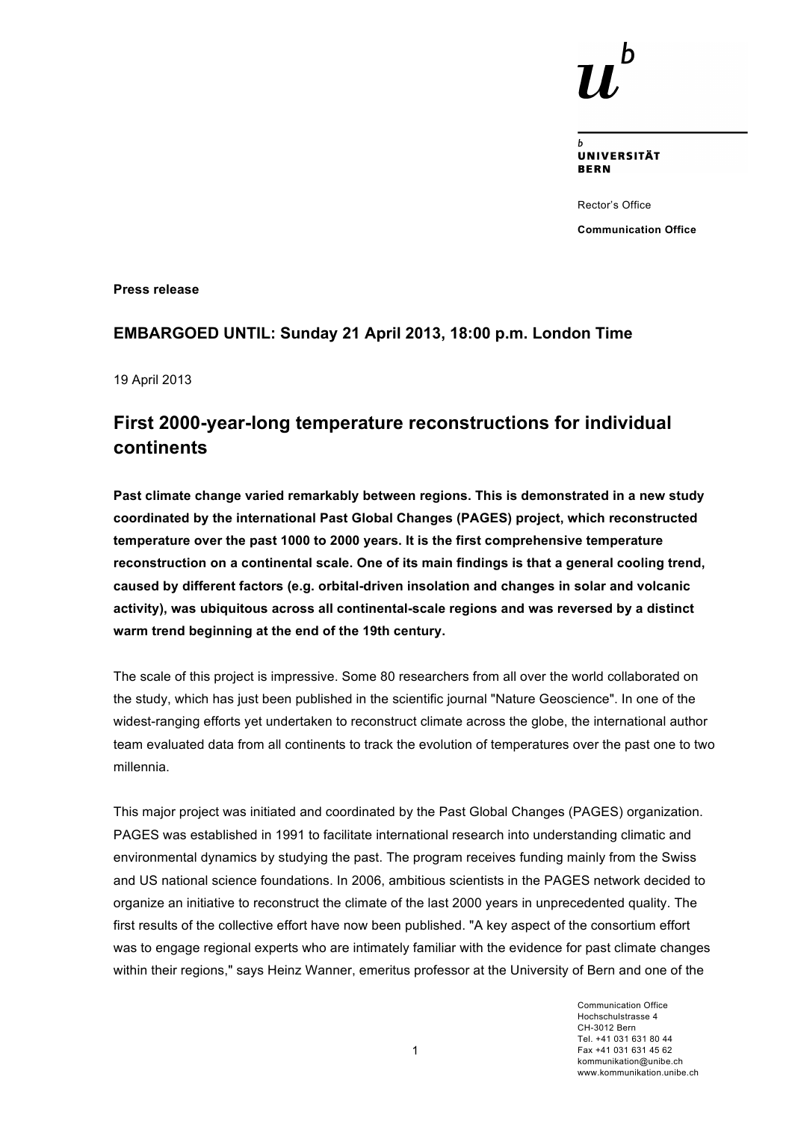**UNIVERSITÄT BERN** 

Rector's Office **Communication Office**

**Press release**

## **EMBARGOED UNTIL: Sunday 21 April 2013, 18:00 p.m. London Time**

19 April 2013

# **First 2000-year-long temperature reconstructions for individual continents**

**Past climate change varied remarkably between regions. This is demonstrated in a new study coordinated by the international Past Global Changes (PAGES) project, which reconstructed temperature over the past 1000 to 2000 years. It is the first comprehensive temperature reconstruction on a continental scale. One of its main findings is that a general cooling trend, caused by different factors (e.g. orbital-driven insolation and changes in solar and volcanic activity), was ubiquitous across all continental-scale regions and was reversed by a distinct warm trend beginning at the end of the 19th century.**

The scale of this project is impressive. Some 80 researchers from all over the world collaborated on the study, which has just been published in the scientific journal "Nature Geoscience". In one of the widest-ranging efforts yet undertaken to reconstruct climate across the globe, the international author team evaluated data from all continents to track the evolution of temperatures over the past one to two millennia.

This major project was initiated and coordinated by the Past Global Changes (PAGES) organization. PAGES was established in 1991 to facilitate international research into understanding climatic and environmental dynamics by studying the past. The program receives funding mainly from the Swiss and US national science foundations. In 2006, ambitious scientists in the PAGES network decided to organize an initiative to reconstruct the climate of the last 2000 years in unprecedented quality. The first results of the collective effort have now been published. "A key aspect of the consortium effort was to engage regional experts who are intimately familiar with the evidence for past climate changes within their regions," says Heinz Wanner, emeritus professor at the University of Bern and one of the

> Communication Office Hochschulstrasse 4 CH-3012 Bern Tel. +41 031 631 80 44 Fax +41 031 631 45 62 kommunikation@unibe.ch www.kommunikation.unibe.ch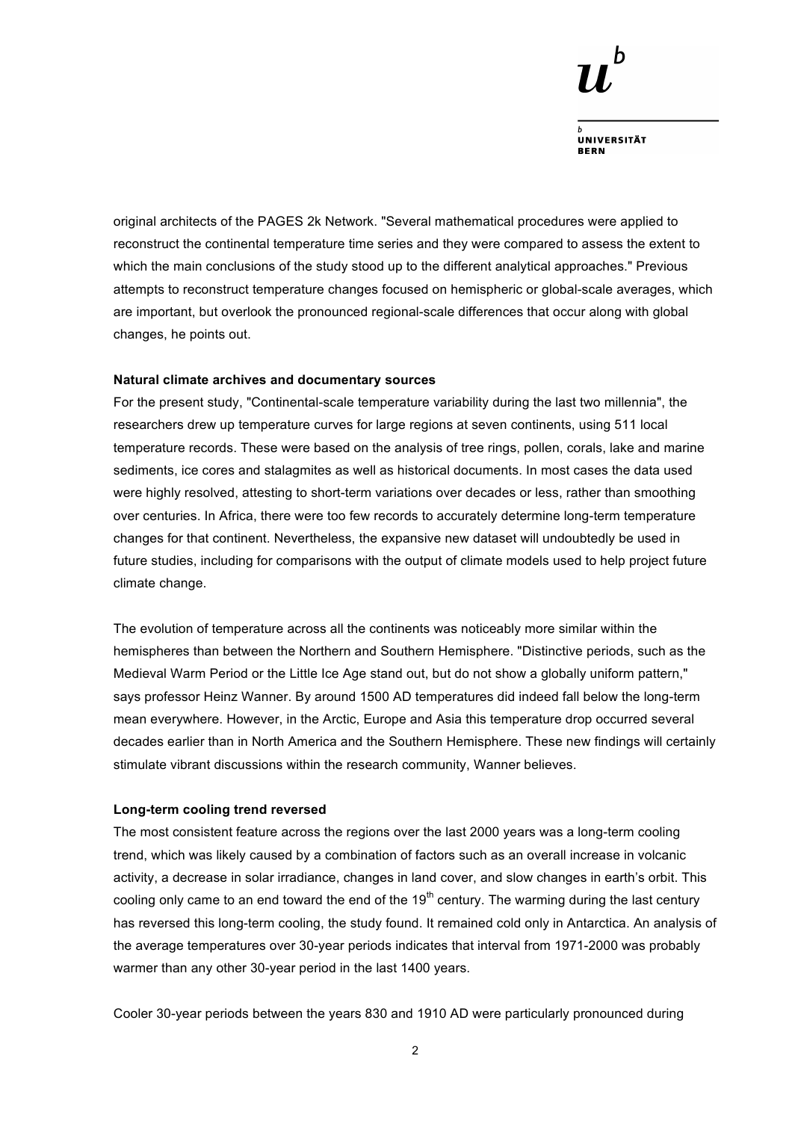

**UNIVERSITÄT BERN** 

original architects of the PAGES 2k Network. "Several mathematical procedures were applied to reconstruct the continental temperature time series and they were compared to assess the extent to which the main conclusions of the study stood up to the different analytical approaches." Previous attempts to reconstruct temperature changes focused on hemispheric or global-scale averages, which are important, but overlook the pronounced regional-scale differences that occur along with global changes, he points out.

#### **Natural climate archives and documentary sources**

For the present study, "Continental-scale temperature variability during the last two millennia", the researchers drew up temperature curves for large regions at seven continents, using 511 local temperature records. These were based on the analysis of tree rings, pollen, corals, lake and marine sediments, ice cores and stalagmites as well as historical documents. In most cases the data used were highly resolved, attesting to short-term variations over decades or less, rather than smoothing over centuries. In Africa, there were too few records to accurately determine long-term temperature changes for that continent. Nevertheless, the expansive new dataset will undoubtedly be used in future studies, including for comparisons with the output of climate models used to help project future climate change.

The evolution of temperature across all the continents was noticeably more similar within the hemispheres than between the Northern and Southern Hemisphere. "Distinctive periods, such as the Medieval Warm Period or the Little Ice Age stand out, but do not show a globally uniform pattern," says professor Heinz Wanner. By around 1500 AD temperatures did indeed fall below the long-term mean everywhere. However, in the Arctic, Europe and Asia this temperature drop occurred several decades earlier than in North America and the Southern Hemisphere. These new findings will certainly stimulate vibrant discussions within the research community, Wanner believes.

### **Long-term cooling trend reversed**

The most consistent feature across the regions over the last 2000 years was a long-term cooling trend, which was likely caused by a combination of factors such as an overall increase in volcanic activity, a decrease in solar irradiance, changes in land cover, and slow changes in earth's orbit. This cooling only came to an end toward the end of the  $19<sup>th</sup>$  century. The warming during the last century has reversed this long-term cooling, the study found. It remained cold only in Antarctica. An analysis of the average temperatures over 30-year periods indicates that interval from 1971-2000 was probably warmer than any other 30-year period in the last 1400 years.

Cooler 30-year periods between the years 830 and 1910 AD were particularly pronounced during